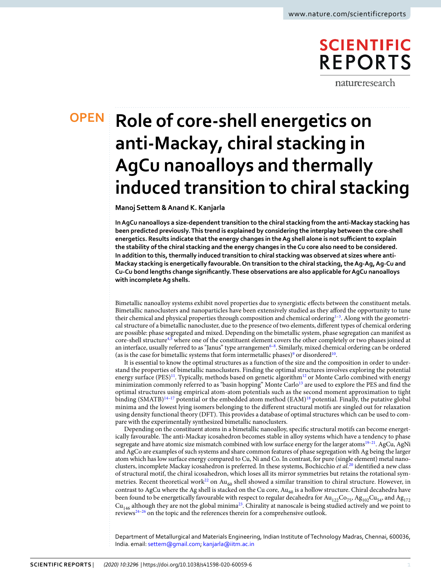# **SCIENTIFIC REPORTS** natureresearch

**OPEN**

# **Role of core-shell energetics on anti-Mackay, chiral stacking in AgCu nanoalloys and thermally induced transition to chiral stacking**

**Manoj Settem & Anand K. Kanjarla**

**In AgCu nanoalloys a size-dependent transition to the chiral stacking from the anti-Mackay stacking has been predicted previously. This trend is explained by considering the interplay between the core-shell energetics. Results indicate that the energy changes in the Ag shell alone is not sufficient to explain the stability of the chiral stacking and the energy changes in the Cu core also need to be considered. In addition to this, thermally induced transition to chiral stacking was observed at sizes where anti-Mackay stacking is energetically favourable. On transition to the chiral stacking, the Ag-Ag, Ag-Cu and Cu-Cu bond lengths change significantly. These observations are also applicable for AgCu nanoalloys with incomplete Ag shells.**

Bimetallic nanoalloy systems exhibit novel properties due to synergistic effects between the constituent metals. Bimetallic nanoclusters and nanoparticles have been extensively studied as they afford the opportunity to tune their chemical and physical properties through composition and chemical ordering<sup>1-[3](#page-9-1)</sup>. Along with the geometrical structure of a bimetallic nanocluster, due to the presence of two elements, different types of chemical ordering are possible: phase segregated and mixed. Depending on the bimetallic system, phase segregation can manifest as core-shell structure<sup>[4,](#page-9-2)[5](#page-9-3)</sup> where one of the constituent element covers the other completely or two phases joined at an interface, usually referred to as "Janus" type arrangemen<sup>6-[8](#page-10-1)</sup>. Similarly, mixed chemical ordering can be ordered (as is the case for bimetallic systems that form intermetallic phases)<sup>[9](#page-10-2)</sup> or disordered<sup>[10](#page-10-3)</sup>.

It is essential to know the optimal structures as a function of the size and the composition in order to understand the properties of bimetallic nanoclusters. Finding the optimal structures involves exploring the potential energy surface (PES)<sup>[11](#page-10-4)</sup>. Typically, methods based on genetic algorithm<sup>[12](#page-10-5)</sup> or Monte Carlo combined with energy minimization commonly referred to as "basin hopping" Monte Carlo<sup>[13](#page-10-6)</sup> are used to explore the PES and find the optimal structures using empirical atom-atom potentials such as the second moment approximation to tight binding (SMATB)<sup>[14](#page-10-7)[–17](#page-10-8)</sup> potential or the embedded atom method (EAM)<sup>[18](#page-10-9)</sup> potential. Finally, the putative global minima and the lowest lying isomers belonging to the different structural motifs are singled out for relaxation using density functional theory (DFT). This provides a database of optimal structures which can be used to compare with the experimentally synthesized bimetallic nanoclusters.

Depending on the constituent atoms in a bimetallic nanoalloy, specific structural motifs can become energetically favourable. The anti-Mackay icosahedron becomes stable in alloy systems which have a tendency to phase segregate and have atomic size mismatch combined with low surface energy for the larger atoms<sup>19-[21](#page-10-11)</sup>. AgCu, AgNi and AgCo are examples of such systems and share common features of phase segregation with Ag being the larger atom which has low surface energy compared to Cu, Ni and Co. In contrast, for pure (single element) metal nano-clusters, incomplete Mackay icosahedron is preferred. In these systems, Bochicchio et al.<sup>[20](#page-10-12)</sup> identified a new class of structural motif, the chiral icosahedron, which loses all its mirror symmetries but retains the rotational sym-metries. Recent theoretical work<sup>[22](#page-10-13)</sup> on Au<sub>60</sub> shell showed a similar transition to chiral structure. However, in contrast to AgCu where the Ag shell is stacked on the Cu core,  $Au_{60}$  is a hollow structure. Chiral decahedra have been found to be energetically favourable with respect to regular decahedra for  $Au_{122}Co_{75}$ ,  $Ag_{102}Cu_{54}$ , and  $Ag_{172}$  $Cu<sub>146</sub>$  although they are not the global minima<sup>[23](#page-10-14)</sup>. Chirality at nanoscale is being studied actively and we point to reviews[24](#page-10-15)[–26](#page-10-16) on the topic and the references therein for a comprehensive outlook.

Department of Metallurgical and Materials Engineering, Indian Institute of Technology Madras, Chennai, 600036, India. email: [settem@gmail.com](mailto:settem@gmail.com); [kanjarla@iitm.ac.in](mailto:kanjarla@iitm.ac.in)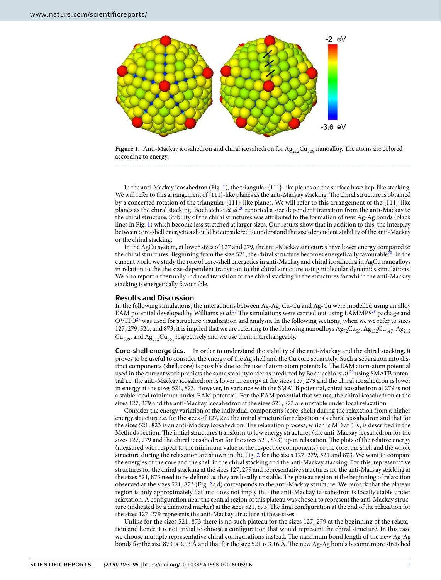

<span id="page-1-0"></span>Figure 1. Anti-Mackay icosahedron and chiral icosahedron for Ag<sub>212</sub>Cu<sub>309</sub> nanoalloy. The atoms are colored according to energy.

In the anti-Mackay icosahedron (Fig. [1\)](#page-1-0), the triangular {111}-like planes on the surface have hcp-like stacking. We will refer to this arrangement of {111}-like planes as the anti-Mackay stacking. The chiral structure is obtained by a concerted rotation of the triangular {111}-like planes. We will refer to this arrangement of the {111}-like planes as the chiral stacking. Bochicchio *et al.<sup>[20](#page-10-12)</sup>* reported a size dependent transition from the anti-Mackay to the chiral structure. Stability of the chiral structures was attributed to the formation of new Ag-Ag bonds (black lines in Fig. [1](#page-1-0)) which become less stretched at larger sizes. Our results show that in addition to this, the interplay between core-shell energetics should be considered to understand the size-dependent stability of the anti-Mackay or the chiral stacking.

In the AgCu system, at lower sizes of 127 and 279, the anti-Mackay structures have lower energy compared to the chiral structures. Beginning from the size 521, the chiral structure becomes energetically favourable<sup>[20](#page-10-12)</sup>. In the current work, we study the role of core-shell energetics in anti-Mackay and chiral icosahedra in AgCu nanoalloys in relation to the the size-dependent transition to the chiral structure using molecular dynamics simulations. We also report a thermally induced transition to the chiral stacking in the structures for which the anti-Mackay stacking is energetically favourable.

# **Results and Discussion**

In the following simulations, the interactions between Ag-Ag, Cu-Cu and Ag-Cu were modelled using an alloy EAM potential developed by Williams *et al.<sup>[27](#page-10-17)</sup>* The simulations were carried out using LAMMPS<sup>[28](#page-10-18)</sup> package and OVITO[29](#page-10-19) was used for structure visualization and analysis. In the following sections, when we we refer to sizes 127, 279, 521, and 873, it is implied that we are referring to the following nanoalloys  $Ag_{72}Cu_{55}$ ,  $Ag_{132}Cu_{147}$ ,  $Ag_{212}$  $Cu<sub>309</sub>$ , and  $Ag<sub>312</sub>Cu<sub>561</sub>$  respectively and we use them interchangeably.

**Core-shell energetics.** In order to understand the stability of the anti-Mackay and the chiral stacking, it proves to be useful to consider the energy of the Ag shell and the Cu core separately. Such a separation into distinct components (shell, core) is possible due to the use of atom-atom potentials. The EAM atom-atom potential used in the current work predicts the same stability order as predicted by Bochicchio et al.<sup>[20](#page-10-12)</sup> using SMATB potential i.e. the anti-Mackay icosahedron is lower in energy at the sizes 127, 279 and the chiral icosahedron is lower in energy at the sizes 521, 873. However, in variance with the SMATB potential, chiral icosahedron at 279 is not a stable local minimum under EAM potential. For the EAM potential that we use, the chiral icosahedron at the sizes 127, 279 and the anti-Mackay icosahedron at the sizes 521, 873 are unstable under local relaxation.

Consider the energy variation of the individual components (core, shell) during the relaxation from a higher energy structure i.e. for the sizes of 127, 279 the initial structure for relaxation is a chiral icosahedron and that for the sizes 521, 823 is an anti-Mackay icosahedron. The relaxation process, which is MD at 0 K, is described in the Methods section. The initial structures transform to low energy structures (the anti-Mackay icosahedron for the sizes 127, 279 and the chiral icosahedron for the sizes 521, 873) upon relaxation. The plots of the relative energy (measured with respect to the minimum value of the respective components) of the core, the shell and the whole structure during the relaxation are shown in the Fig. [2](#page-2-0) for the sizes 127, 279, 521 and 873. We want to compare the energies of the core and the shell in the chiral stacking and the anti-Mackay stacking. For this, representative structures for the chiral stacking at the sizes 127, 279 and representative structures for the anti-Mackay stacking at the sizes 521, 873 need to be defined as they are locally unstable. The plateau region at the beginning of relaxation observed at the sizes 521, 873 (Fig. [2c](#page-2-0),d) corresponds to the anti-Mackay structure. We remark that the plateau region is only approximately flat and does not imply that the anti-Mackay icosahedron is locally stable under relaxation. A configuration near the central region of this plateau was chosen to represent the anti-Mackay structure (indicated by a diamond marker) at the sizes 521, 873. The final configuration at the end of the relaxation for the sizes 127, 279 represents the anti-Mackay structure at these sizes.

Unlike for the sizes 521, 873 there is no such plateau for the sizes 127, 279 at the beginning of the relaxation and hence it is not trivial to choose a configuration that would represent the chiral structure. In this case we choose multiple representative chiral configurations instead. The maximum bond length of the new Ag-Ag bonds for the size 873 is 3.03 Å and that for the size 521 is 3.16 Å. The new Ag-Ag bonds become more stretched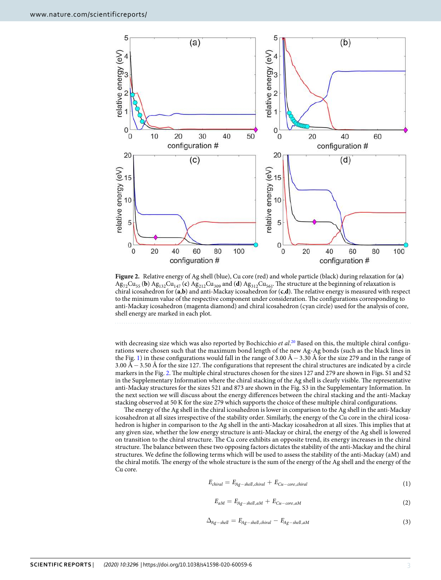

<span id="page-2-0"></span>**Figure 2.** Relative energy of Ag shell (blue), Cu core (red) and whole particle (black) during relaxation for (**a**) Ag72Cu55 (**b**) Ag132Cu147 (**c**) Ag212Cu309 and (**d**) Ag312Cu561. The structure at the beginning of relaxation is chiral icosahedron for (**a**,**b**) and anti-Mackay icosahedron for (**c**,**d**). The relative energy is measured with respect to the minimum value of the respective component under consideration. The configurations corresponding to anti-Mackay icosahedron (magenta diamond) and chiral icosahedron (cyan circle) used for the analysis of core, shell energy are marked in each plot.

with decreasing size which was also reported by Bochicchio et al.<sup>[20](#page-10-12)</sup> Based on this, the multiple chiral configurations were chosen such that the maximum bond length of the new Ag-Ag bonds (such as the black lines in the Fig. [1](#page-1-0)) in these configurations would fall in the range of 3.00 Å− 3.30 Å for the size 279 and in the range of 3.00 Å− 3.50 Å for the size 127. The configurations that represent the chiral structures are indicated by a circle markers in the Fig. [2.](#page-2-0) The multiple chiral structures chosen for the sizes 127 and 279 are shown in Figs. S1 and S2 in the Supplementary Information where the chiral stacking of the Ag shell is clearly visible. The representative anti-Mackay structures for the sizes 521 and 873 are shown in the Fig. S3 in the Supplementary Information. In the next section we will discuss about the energy differences between the chiral stacking and the anti-Mackay stacking observed at 50 K for the size 279 which supports the choice of these multiple chiral configurations.

The energy of the Ag shell in the chiral icosahedron is lower in comparison to the Ag shell in the anti-Mackay icosahedron at all sizes irrespective of the stability order. Similarly, the energy of the Cu core in the chiral icosahedron is higher in comparison to the Ag shell in the anti-Mackay icosahedron at all sizes. This implies that at any given size, whether the low energy structure is anti-Mackay or chiral, the energy of the Ag shell is lowered on transition to the chiral structure. The Cu core exhibits an opposite trend, its energy increases in the chiral structure. The balance between these two opposing factors dictates the stability of the anti-Mackay and the chiral structures. We define the following terms which will be used to assess the stability of the anti-Mackay (aM) and the chiral motifs. The energy of the whole structure is the sum of the energy of the Ag shell and the energy of the Cu core.

$$
E_{chiral} = E_{Ag-shell, chiral} + E_{Cu-core, chiral}
$$
\n(1)

$$
E_{aM} = E_{Ag-shell, aM} + E_{Cu-core, aM}
$$
 (2)

$$
\Delta_{Ag-shell} = E_{Ag-shell, chiral} - E_{Ag-shell, aM}
$$
\n(3)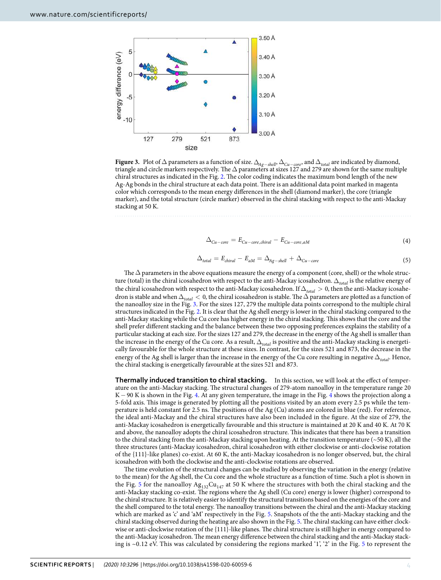

<span id="page-3-0"></span>**Figure 3.** Plot of  $\Delta$  parameters as a function of size.  $\Delta_{Ag-shell}$ ,  $\Delta_{Cu-core}$ , and  $\Delta_{total}$  are indicated by diamond, triangle and circle markers respectively. The ∆ parameters at sizes 127 and 279 are shown for the same multiple chiral structures as indicated in the Fig. [2](#page-2-0). The color coding indicates the maximum bond length of the new Ag-Ag bonds in the chiral structure at each data point. There is an additional data point marked in magenta color which corresponds to the mean energy differences in the shell (diamond marker), the core (triangle marker), and the total structure (circle marker) observed in the chiral stacking with respect to the anti-Mackay stacking at 50 K.

$$
\Delta_{Cu-core} = E_{Cu-core,chiral} - E_{Cu-core, aM}
$$
\n(4)

$$
\Delta_{total} = E_{chiral} - E_{aM} = \Delta_{Ag-shell} + \Delta_{Cu-core}
$$
\n(5)

The ∆ parameters in the above equations measure the energy of a component (core, shell) or the whole structure (total) in the chiral icosahedron with respect to the anti-Mackay icosahedron.  $\Delta_{total}$  is the relative energy of the chiral icosahedron with respect to the anti-Mackay icosahedron. If  $\Delta_{total}>0$ , then the anti-Mackay icosahedron is stable and when  $\Delta_{total}<0,$  the chiral icosahedron is stable. The  $\Delta$  parameters are plotted as a function of the nanoalloy size in the Fig. [3.](#page-3-0) For the sizes 127, 279 the multiple data points correspond to the multiple chiral structures indicated in the Fig. [2.](#page-2-0) It is clear that the Ag shell energy is lower in the chiral stacking compared to the anti-Mackay stacking while the Cu core has higher energy in the chiral stacking. This shows that the core and the shell prefer different stacking and the balance between these two opposing preferences explains the stability of a particular stacking at each size. For the sizes 127 and 279, the decrease in the energy of the Ag shell is smaller than the increase in the energy of the Cu core. As a result,  $\Delta_{total}$  is positive and the anti-Mackay stacking is energetically favourable for the whole structure at these sizes. In contrast, for the sizes 521 and 873, the decrease in the energy of the Ag shell is larger than the increase in the energy of the Cu core resulting in negative  $\Delta_{total}$ . Hence, the chiral stacking is energetically favourable at the sizes 521 and 873.

**Thermally induced transition to chiral stacking.** In this section, we will look at the effect of temperature on the anti-Mackay stacking. The structural changes of 279-atom nanoalloy in the temperature range 20 K − 90 K is shown in the Fig. [4](#page-4-0). At any given temperature, the image in the Fig. [4](#page-4-0) shows the projection along a 5-fold axis. This image is generated by plotting all the positions visited by an atom every 2.5 ps while the temperature is held constant for 2.5 ns. The positions of the Ag (Cu) atoms are colored in blue (red). For reference, the ideal anti-Mackay and the chiral structures have also been included in the figure. At the size of 279, the anti-Mackay icosahedron is energetically favourable and this structure is maintained at 20 K and 40 K. At 70 K and above, the nanoalloy adopts the chiral icosahedron structure. This indicates that there has been a transition to the chiral stacking from the anti-Mackay stacking upon heating. At the transition temperature  $(\sim 50 \text{ K})$ , all the three structures (anti-Mackay icosahedron, chiral icosahedron with either clockwise or anti-clockwise rotation of the {111}-like planes) co-exist. At 60 K, the anti-Mackay icosahedron is no longer observed, but, the chiral icosahedron with both the clockwise and the anti-clockwise rotations are observed.

The time evolution of the structural changes can be studied by observing the variation in the energy (relative to the mean) for the Ag shell, the Cu core and the whole structure as a function of time. Such a plot is shown in the Fig. [5](#page-4-1) for the nanoalloy  $Ag_{132}Cu_{147}$  at 50 K where the structures with both the chiral stacking and the anti-Mackay stacking co-exist. The regions where the Ag shell (Cu core) energy is lower (higher) correspond to the chiral structure. It is relatively easier to identify the structural transitions based on the energies of the core and the shell compared to the total energy. The nanoalloy transitions between the chiral and the anti-Mackay stacking which are marked as 'c' and 'aM' respectively in the Fig. [5.](#page-4-1) Snapshots of the the anti-Mackay stacking and the chiral stacking observed during the heating are also shown in the Fig. [5](#page-4-1). The chiral stacking can have either clockwise or anti-clockwise rotation of the {111}-like planes. The chiral structure is still higher in energy compared to the anti-Mackay icosahedron. The mean energy difference between the chiral stacking and the anti-Mackay stacking is ~0.12 eV. This was calculated by considering the regions marked '1', '2' in the Fig. [5](#page-4-1) to represent the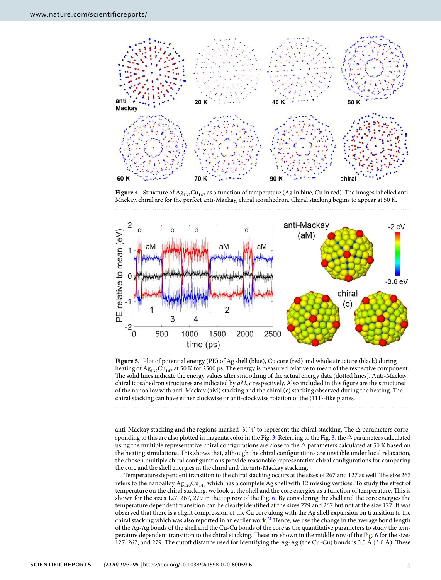

<span id="page-4-0"></span>Figure 4. Structure of Ag<sub>132</sub>Cu<sub>147</sub> as a function of temperature (Ag in blue, Cu in red). The images labelled anti Mackay, chiral are for the perfect anti-Mackay, chiral icosahedron. Chiral stacking begins to appear at 50 K.



<span id="page-4-1"></span>**Figure 5.** Plot of potential energy (PE) of Ag shell (blue), Cu core (red) and whole structure (black) during heating of Ag<sub>132</sub>Cu<sub>147</sub> at 50 K for 2500 ps. The energy is measured relative to mean of the respective component. The solid lines indicate the energy values after smoothing of the actual energy data (dotted lines). Anti-Mackay, chiral icosahedron structures are indicated by aM, c respectively. Also included in this figure are the structures of the nanoalloy with anti-Mackay (aM) stacking and the chiral (**c**) stacking observed during the heating. The chiral stacking can have either clockwise or anti-clockwise rotation of the {111}-like planes.

anti-Mackay stacking and the regions marked '3', '4' to represent the chiral stacking. The ∆ parameters corre-sponding to this are also plotted in magenta color in the Fig. [3.](#page-3-0) Referring to the Fig. [3](#page-3-0), the  $\triangle$  parameters calculated using the multiple representative chiral configurations are close to the ∆ parameters calculated at 50 K based on the heating simulations. This shows that, although the chiral configurations are unstable under local relaxation, the chosen multiple chiral configurations provide reasonable representative chiral configurations for comparing the core and the shell energies in the chiral and the anti-Mackay stacking.

Temperature dependent transition to the chiral stacking occurs at the sizes of 267 and 127 as well. The size 267 refers to the nanoalloy  $Ag_{120}Cu_{147}$  which has a complete Ag shell with 12 missing vertices. To study the effect of temperature on the chiral stacking, we look at the shell and the core energies as a function of temperature. This is shown for the sizes 127, 267, 279 in the top row of the Fig. [6.](#page-5-0) By considering the shell and the core energies the temperature dependent transition can be clearly identified at the sizes 279 and 267 but not at the size 127. It was observed that there is a slight compression of the Cu core along with the Ag shell expansion on transition to the chiral stacking which was also reported in an earlier work.<sup>[21](#page-10-11)</sup> Hence, we use the change in the average bond length of the Ag-Ag bonds of the shell and the Cu-Cu bonds of the core as the quantitative parameters to study the temperature dependent transition to the chiral stacking. These are shown in the middle row of the Fig. [6](#page-5-0) for the sizes 127, 267, and 279. The cutoff distance used for identifying the Ag-Ag (the Cu-Cu) bonds is 3.5 Å (3.0 Å). These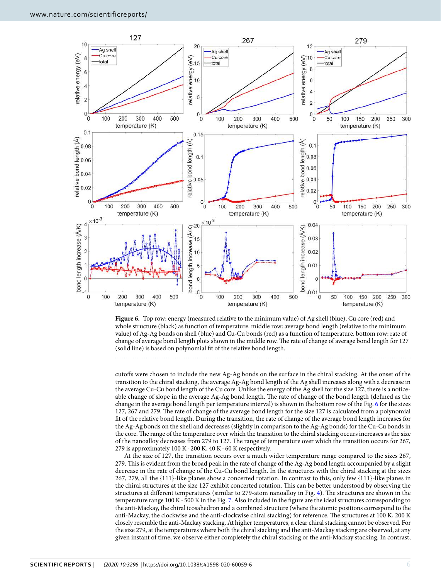

<span id="page-5-0"></span>**Figure 6.** Top row: energy (measured relative to the minimum value) of Ag shell (blue), Cu core (red) and whole structure (black) as function of temperature. middle row: average bond length (relative to the minimum value) of Ag-Ag bonds on shell (blue) and Cu-Cu bonds (red) as a function of temperature. bottom row: rate of change of average bond length plots shown in the middle row. The rate of change of average bond length for 127 (solid line) is based on polynomial fit of the relative bond length.

cutoffs were chosen to include the new Ag-Ag bonds on the surface in the chiral stacking. At the onset of the transition to the chiral stacking, the average Ag-Ag bond length of the Ag shell increases along with a decrease in the average Cu-Cu bond length of the Cu core. Unlike the energy of the Ag shell for the size 127, there is a noticeable change of slope in the average Ag-Ag bond length. The rate of change of the bond length (defined as the change in the average bond length per temperature interval) is shown in the bottom row of the Fig. [6](#page-5-0) for the sizes 127, 267 and 279. The rate of change of the average bond length for the size 127 is calculated from a polynomial fit of the relative bond length. During the transition, the rate of change of the average bond length increases for the Ag-Ag bonds on the shell and decreases (slightly in comparison to the Ag-Ag bonds) for the Cu-Cu bonds in the core. The range of the temperature over which the transition to the chiral stacking occurs increases as the size of the nanoalloy decreases from 279 to 127. The range of temperature over which the transition occurs for 267, 279 is approximately 100 K - 200 K, 40 K - 60 K respectively.

At the size of 127, the transition occurs over a much wider temperature range compared to the sizes 267, 279. This is evident from the broad peak in the rate of change of the Ag-Ag bond length accompanied by a slight decrease in the rate of change of the Cu-Cu bond length. In the structures with the chiral stacking at the sizes 267, 279, all the {111}-like planes show a concerted rotation. In contrast to this, only few {111}-like planes in the chiral structures at the size 127 exhibit concerted rotation. This can be better understood by observing the structures at different temperatures (similar to 279-atom nanoalloy in Fig. [4](#page-4-0)). The structures are shown in the temperature range 100 K - 500 K in the Fig. [7](#page-6-0). Also included in the figure are the ideal structures corresponding to the anti-Mackay, the chiral icosahedron and a combined structure (where the atomic positions correspond to the anti-Mackay, the clockwise and the anti-clockwise chiral stacking) for reference. The structures at 100 K, 200 K closely resemble the anti-Mackay stacking. At higher temperatures, a clear chiral stacking cannot be observed. For the size 279, at the temperatures where both the chiral stacking and the anti-Mackay stacking are observed, at any given instant of time, we observe either completely the chiral stacking or the anti-Mackay stacking. In contrast,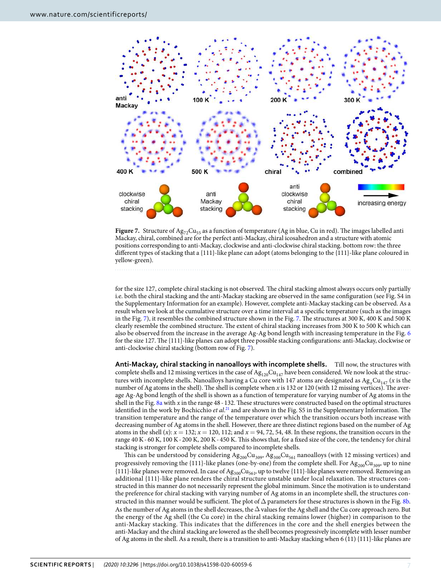

<span id="page-6-0"></span>**Figure 7.** Structure of Ag<sub>72</sub>Cu<sub>55</sub> as a function of temperature (Ag in blue, Cu in red). The images labelled anti Mackay, chiral, combined are for the perfect anti-Mackay, chiral icosahedron and a structure with atomic positions corresponding to anti-Mackay, clockwise and anti-clockwise chiral stacking. bottom row: the three different types of stacking that a {111}-like plane can adopt (atoms belonging to the {111}-like plane coloured in yellow-green).

for the size 127, complete chiral stacking is not observed. The chiral stacking almost always occurs only partially i.e. both the chiral stacking and the anti-Mackay stacking are observed in the same configuration (see Fig. S4 in the Supplementary Information for an example). However, complete anti-Mackay stacking can be observed. As a result when we look at the cumulative structure over a time interval at a specific temperature (such as the images in the Fig. [7](#page-6-0)), it resembles the combined structure shown in the Fig. [7](#page-6-0). The structures at 300 K, 400 K and 500 K clearly resemble the combined structure. The extent of chiral stacking increases from 300 K to 500 K which can also be observed from the increase in the average Ag-Ag bond length with increasing temperature in the Fig. [6](#page-5-0) for the size 127. The {111}-like planes can adopt three possible stacking configurations: anti-Mackay, clockwise or anti-clockwise chiral stacking (bottom row of Fig. [7\)](#page-6-0).

**Anti-Mackay, chiral stacking in nanoalloys with incomplete shells.** Till now, the structures with complete shells and 12 missing vertices in the case of  $Ag_{120}Cu_{147}$  have been considered. We now look at the structures with incomplete shells. Nanoalloys having a Cu core with 147 atoms are designated as  $Ag_xCu_{147}$  (x is the number of Ag atoms in the shell). The shell is complete when x is 132 or 120 (with 12 missing vertices). The average Ag-Ag bond length of the shell is shown as a function of temperature for varying number of Ag atoms in the shell in the Fig. [8a](#page-7-0) with  $x$  in the range 48 - 132. These structures were constructed based on the optimal structures identified in the work by Bochicchio et al.<sup>[21](#page-10-11)</sup> and are shown in the Fig. S5 in the Supplementary Information. The transition temperature and the range of the temperature over which the transition occurs both increase with decreasing number of Ag atoms in the shell. However, there are three distinct regions based on the number of Ag atoms in the shell  $(x): x = 132; x = 120, 112;$  and  $x = 94, 72, 54, 48$ . In these regions, the transition occurs in the range 40 K - 60 K, 100 K - 200 K, 200 K - 450 K. This shows that, for a fixed size of the core, the tendency for chiral stacking is stronger for complete shells compared to incomplete shells.

This can be understood by considering  $Ag_{200}Cu_{309}$ ,  $Ag_{300}Cu_{561}$  nanoalloys (with 12 missing vertices) and progressively removing the {111}-like planes (one-by-one) from the complete shell. For  $Ag_{200}Cu_{309}$ , up to nine  ${111}$ -like planes were removed. In case of Ag<sub>300</sub>Cu<sub>561</sub>, up to twelve  ${111}$ -like planes were removed. Removing an additional {111}-like plane renders the chiral structure unstable under local relaxation. The structures constructed in this manner do not necessarily represent the global minimum. Since the motivation is to understand the preference for chiral stacking with varying number of Ag atoms in an incomplete shell, the structures constructed in this manner would be sufficient. The plot of  $\Delta$  parameters for these structures is shown in the Fig. [8b.](#page-7-0) As the number of Ag atoms in the shell decreases, the ∆ values for the Ag shell and the Cu core approach zero. But the energy of the Ag shell (the Cu core) in the chiral stacking remains lower (higher) in comparison to the anti-Mackay stacking. This indicates that the differences in the core and the shell energies between the anti-Mackay and the chiral stacking are lowered as the shell becomes progressively incomplete with lesser number of Ag atoms in the shell. As a result, there is a transition to anti-Mackay stacking when 6 (11) {111}-like planes are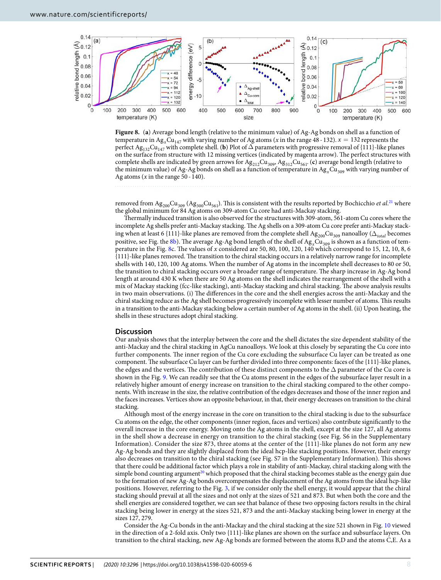

<span id="page-7-0"></span>**Figure 8.** (**a**) Average bond length (relative to the minimum value) of Ag-Ag bonds on shell as a function of temperature in Ag<sub>x</sub>Cu<sub>147</sub> with varying number of Ag atoms (x in the range 48 - 132).  $x = 132$  represents the perfect Ag<sub>132</sub>Cu<sub>147</sub> with complete shell. (**b**) Plot of  $\Delta$  parameters with progressive removal of {111}-like planes on the surface from structure with 12 missing vertices (indicated by magenta arrow). The perfect structures with complete shells are indicated by green arrows for Ag<sub>212</sub>Cu<sub>309</sub>, Ag<sub>312</sub>Cu<sub>561</sub>. (**c**) average bond length (relative to the minimum value) of Ag-Ag bonds on shell as a function of temperature in Ag<sub>x</sub>Cu<sub>309</sub> with varying number of Ag atoms  $(x \in \{140\})$ .

removed from  $Ag_{200}Cu_{309} (Ag_{300}Cu_{561})$ . This is consistent with the results reported by Bochicchio *et al.*<sup>[21](#page-10-11)</sup> where the global minimum for 84 Ag atoms on 309-atom Cu core had anti-Mackay stacking.

Thermally induced transition is also observed for the structures with 309-atom, 561-atom Cu cores where the incomplete Ag shells prefer anti-Mackay stacking. The Ag shells on a 309-atom Cu core prefer anti-Mackay stacking when at least 6 {111}-like planes are removed from the complete shell  ${\rm Ag}_{200}{\rm Cu}_{309}$  nanoalloy ( $\Delta_{total}$  becomes positive, see Fig. the [8b](#page-7-0)). The average Ag-Ag bond length of the shell of Ag<sub>x</sub>Cu<sub>309</sub> is shown as a function of temperature in the Fig. [8c](#page-7-0). The values of x considered are 50, 80, 100, 120, 140 which correspond to 15, 12, 10, 8, 6 {111}-like planes removed. The transition to the chiral stacking occurs in a relatively narrow range for incomplete shells with 140, 120, 100 Ag atoms. When the number of Ag atoms in the incomplete shell decreases to 80 or 50, the transition to chiral stacking occurs over a broader range of temperature. The sharp increase in Ag-Ag bond length at around 430 K when there are 50 Ag atoms on the shell indicates the rearrangement of the shell with a mix of Mackay stacking (fcc-like stacking), anti-Mackay stacking and chiral stacking. The above analysis results in two main observations. (i) The differences in the core and the shell energies across the anti-Mackay and the chiral stacking reduce as the Ag shell becomes progressively incomplete with lesser number of atoms. This results in a transition to the anti-Mackay stacking below a certain number of Ag atoms in the shell. (ii) Upon heating, the shells in these structures adopt chiral stacking.

## **Discussion**

Our analysis shows that the interplay between the core and the shell dictates the size dependent stability of the anti-Mackay and the chiral stacking in AgCu nanoalloys. We look at this closely by separating the Cu core into further components. The inner region of the Cu core excluding the subsurface Cu layer can be treated as one component. The subsurface Cu layer can be further divided into three components: faces of the {111}-like planes, the edges and the vertices. The contribution of these distinct components to the ∆ parameter of the Cu core is shown in the Fig. [9](#page-8-0). We can readily see that the Cu atoms present in the edges of the subsurface layer result in a relatively higher amount of energy increase on transition to the chiral stacking compared to the other components. With increase in the size, the relative contribution of the edges decreases and those of the inner region and the faces increases. Vertices show an opposite behaviour, in that, their energy decreases on transition to the chiral stacking.

Although most of the energy increase in the core on transition to the chiral stacking is due to the subsurface Cu atoms on the edge, the other components (inner region, faces and vertices) also contribute significantly to the overall increase in the core energy. Moving onto the Ag atoms in the shell, except at the size 127, all Ag atoms in the shell show a decrease in energy on transition to the chiral stacking (see Fig. S6 in the Supplementary Information). Consider the size 873, three atoms at the center of the {111}-like planes do not form any new Ag-Ag bonds and they are slightly displaced from the ideal hcp-like stacking positions. However, their energy also decreases on transition to the chiral stacking (see Fig. S7 in the Supplementary Information). This shows that there could be additional factor which plays a role in stability of anti-Mackay, chiral stacking along with the simple bond counting argument<sup>[20](#page-10-12)</sup> which proposed that the chiral stacking becomes stable as the energy gain due to the formation of new Ag-Ag bonds overcompensates the displacement of the Ag atoms from the ideal hcp-like positions. However, referring to the Fig. [3,](#page-3-0) if we consider only the shell energy, it would appear that the chiral stacking should prevail at all the sizes and not only at the sizes of 521 and 873. But when both the core and the shell energies are considered together, we can see that balance of these two opposing factors results in the chiral stacking being lower in energy at the sizes 521, 873 and the anti-Mackay stacking being lower in energy at the sizes 127, 279.

Consider the Ag-Cu bonds in the anti-Mackay and the chiral stacking at the size 521 shown in Fig. [10](#page-8-1) viewed in the direction of a 2-fold axis. Only two {111}-like planes are shown on the surface and subsurface layers. On transition to the chiral stacking, new Ag-Ag bonds are formed between the atoms B,D and the atoms C,E. As a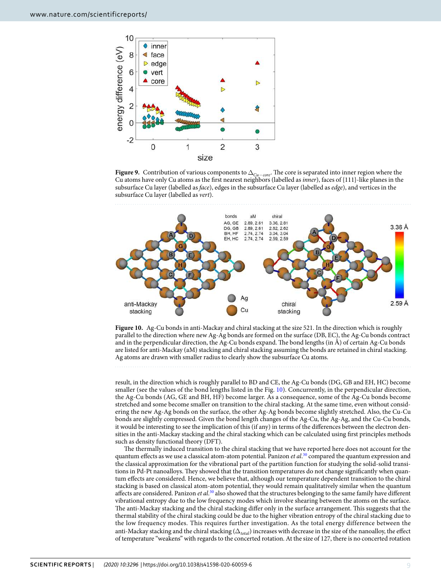

<span id="page-8-0"></span>**Figure 9.** Contribution of various components to  $\Delta_{Cu-core}$ . The core is separated into inner region where the Cu atoms have only Cu atoms as the first nearest neighbors (labelled as inner), faces of {111}-like planes in the subsurface Cu layer (labelled as *face*), edges in the subsurface Cu layer (labelled as *edge*), and vertices in the subsurface Cu layer (labelled as vert).



<span id="page-8-1"></span>

result, in the direction which is roughly parallel to BD and CE, the Ag-Cu bonds (DG, GB and EH, HC) become smaller (see the values of the bond lengths listed in the Fig. [10\)](#page-8-1). Concurrently, in the perpendicular direction, the Ag-Cu bonds (AG, GE and BH, HF) become larger. As a consequence, some of the Ag-Cu bonds become stretched and some become smaller on transition to the chiral stacking. At the same time, even without considering the new Ag-Ag bonds on the surface, the other Ag-Ag bonds become slightly stretched. Also, the Cu-Cu bonds are slightly compressed. Given the bond length changes of the Ag-Cu, the Ag-Ag, and the Cu-Cu bonds, it would be interesting to see the implication of this (if any) in terms of the differences between the electron densities in the anti-Mackay stacking and the chiral stacking which can be calculated using first principles methods such as density functional theory (DFT).

The thermally induced transition to the chiral stacking that we have reported here does not account for the quantum effects as we use a classical atom-atom potential. Panizon et al.<sup>[30](#page-10-20)</sup> compared the quantum expression and the classical approximation for the vibrational part of the partition function for studying the solid-solid transitions in Pd-Pt nanoalloys. They showed that the transition temperatures do not change significantly when quantum effects are considered. Hence, we believe that, although our temperature dependent transition to the chiral stacking is based on classical atom-atom potential, they would remain qualitatively similar when the quantum affects are considered. Panizon et al.<sup>[30](#page-10-20)</sup> also showed that the structures belonging to the same family have different vibrational entropy due to the low frequency modes which involve shearing between the atoms on the surface. The anti-Mackay stacking and the chiral stacking differ only in the surface arrangement. This suggests that the thermal stability of the chiral stacking could be due to the higher vibration entropy of the chiral stacking due to the low frequency modes. This requires further investigation. As the total energy difference between the anti-Mackay stacking and the chiral stacking ( $\Delta_{total}$ ) increases with decrease in the size of the nanoalloy, the effect of temperature "weakens" with regards to the concerted rotation. At the size of 127, there is no concerted rotation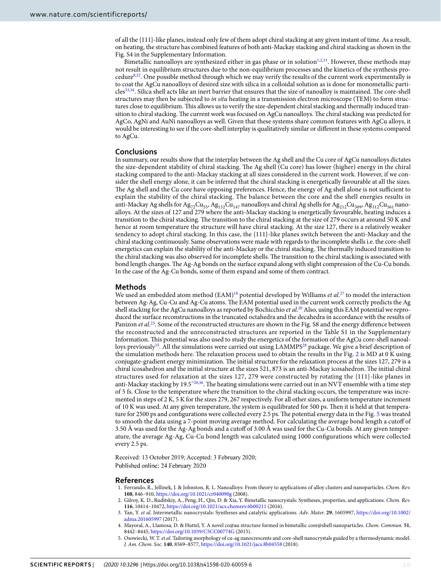of all the {111}-like planes, instead only few of them adopt chiral stacking at any given instant of time. As a result, on heating, the structure has combined features of both anti-Mackay stacking and chiral stacking as shown in the Fig. S4 in the Supplementary Information.

Bimetallic nanoalloys are synthesized either in gas phase or in solution<sup>[1](#page-9-0)[,2](#page-9-4),[31](#page-10-21)</sup>. However, these methods may not result in equilibrium structures due to the non-equilibrium processes and the kinetics of the synthesis procedure[8](#page-10-1)[,32](#page-10-22). One possible method through which we may verify the results of the current work experimentally is to coat the AgCu nanoalloys of desired size with silica in a colloidal solution as is done for monometallic particles[33,](#page-10-23)[34](#page-10-24). Silica shell acts like an inert barrier that ensures that the size of nanoalloy is maintained. The core-shell structures may then be subjected to in situ heating in a transmission electron microscope (TEM) to form structures close to equilibrium. This allows us to verify the size-dependent chiral stacking and thermally induced transition to chiral stacking. The current work was focused on AgCu nanoalloys. The chiral stacking was predicted for AgCo, AgNi and AuNi nanoalloys as well. Given that these systems share common features with AgCu alloys, it would be interesting to see if the core-shell interplay is qualitatively similar or different in these systems compared to AgCu.

# **Conclusions**

In summary, our results show that the interplay between the Ag shell and the Cu core of AgCu nanoalloys dictates the size-dependent stability of chiral stacking. The Ag shell (Cu core) has lower (higher) energy in the chiral stacking compared to the anti-Mackay stacking at all sizes considered in the current work. However, if we consider the shell energy alone, it can be inferred that the chiral stacking is energetically favourable at all the sizes. The Ag shell and the Cu core have opposing preferences. Hence, the energy of Ag shell alone is not sufficient to explain the stability of the chiral stacking. The balance between the core and the shell energies results in anti-Mackay Ag shells for Ag<sub>72</sub>Cu<sub>55</sub>, Ag<sub>132</sub>Cu<sub>147</sub> nanoalloys and chiral Ag shells for Ag<sub>212</sub>Cu<sub>309</sub>, Ag<sub>312</sub>Cu<sub>561</sub> nanoalloys. At the sizes of 127 and 279 where the anti-Mackay stacking is energetically favourable, heating induces a transition to the chiral stacking. The transition to the chiral stacking at the size of 279 occurs at around 50 K and hence at room temperature the structure will have chiral stacking. At the size 127, there is a relatively weaker tendency to adopt chiral stacking. In this case, the {111}-like planes switch between the anti-Mackay and the chiral stacking continuously. Same observations were made with regards to the incomplete shells i.e. the core-shell energetics can explain the stability of the anti-Mackay or the chiral stacking. The thermally induced transition to the chiral stacking was also observed for incomplete shells. The transition to the chiral stacking is associated with bond length changes. The Ag-Ag bonds on the surface expand along with slight compression of the Cu-Cu bonds. In the case of the Ag-Cu bonds, some of them expand and some of them contract.

#### **Methods**

We used an embedded atom method  $(EAM)^{18}$  $(EAM)^{18}$  $(EAM)^{18}$  potential developed by Williams *et al.*<sup>[27](#page-10-17)</sup> to model the interaction between Ag-Ag, Cu-Cu and Ag-Cu atoms. The EAM potential used in the current work correctly predicts the Ag shell stacking for the AgCu nanoalloys as reported by Bochicchio *et al*.<sup>[20](#page-10-12)</sup> Also, using this EAM potential we reproduced the surface reconstructions in the truncated octahedra and the decahedra in accordance with the results of Panizon et al.<sup>[23](#page-10-14)</sup>. Some of the reconstructed structures are shown in the Fig. S8 and the energy difference between the reconstructed and the unreconstructed structures are reported in the Table S1 in the Supplementary Information. This potential was also used to study the energetics of the formation of the AgCu core-shell nanoal-loys previously<sup>[35](#page-10-25)</sup>. All the simulations were carried out using LAMMPS<sup>[28](#page-10-18)</sup> package. We give a brief description of the simulation methods here. The relaxation process used to obtain the results in the Fig. [2](#page-2-0) is MD at 0 K using conjugate-gradient energy minimization. The initial structure for the relaxation process at the sizes 127, 279 is a chiral icosahedron and the initial structure at the sizes 521, 873 is an anti-Mackay icosahedron. The initial chiral structures used for relaxation at the sizes 127, 279 were constructed by rotating the {111}-like planes in anti-Mackay stacking by 19.5 $\degree^{20,36}$  $\degree^{20,36}$  $\degree^{20,36}$  $\degree^{20,36}$  $\degree^{20,36}$ . The heating simulations were carried out in an NVT ensemble with a time step of 5 fs. Close to the temperature where the transition to the chiral stacking occurs, the temperature was incremented in steps of 2 K, 5 K for the sizes 279, 267 respectively. For all other sizes, a uniform temperature increment of 10 K was used. At any given temperature, the system is equilibrated for 500 ps. Then it is held at that temperature for 2500 ps and configurations were collected every 2.5 ps. The potential energy data in the Fig. [5](#page-4-1) was treated to smooth the data using a 7-point moving average method. For calculating the average bond length a cutoff of 3.50 Å was used for the Ag-Ag bonds and a cutoff of 3.00 Å was used for the Cu-Cu bonds. At any given temperature, the average Ag-Ag, Cu-Cu bond length was calculated using 1000 configurations which were collected every 2.5 ps.

Received: 13 October 2019; Accepted: 3 February 2020; Published online: 24 February 2020

#### **References**

- <span id="page-9-0"></span> 1. Ferrando, R., Jellinek, J. & Johnston, R. L. Nanoalloys: From theory to applications of alloy clusters and nanoparticles. Chem. Rev. **108**, 846–910,<https://doi.org/10.1021/cr040090g> (2008).
- <span id="page-9-4"></span> 2. Gilroy, K. D., Ruditskiy, A., Peng, H., Qin, D. & Xia, Y. Bimetallic nanocrystals: Syntheses, properties, and applications. Chem. Rev. **116**, 10414–10472,<https://doi.org/10.1021/acs.chemrev.6b00211>(2016).
- <span id="page-9-1"></span> 3. Yan, Y. et al. Intermetallic nanocrystals: Syntheses and catalytic applications. Adv. Mater. **29**, 1605997, [https://doi.org/10.1002/](https://doi.org/10.1002/adma.201605997) [adma.201605997](https://doi.org/10.1002/adma.201605997) (2017).
- <span id="page-9-2"></span> 4. Mayoral, A., Llamosa, D. & Huttel, Y. A novel co@au structure formed in bimetallic core@shell nanoparticles. Chem. Commun. **51**, 8442–8445, <https://doi.org/10.1039/C5CC00774G>(2015).
- <span id="page-9-3"></span>5. Osowiecki, W. T. et al. Tailoring morphology of cu-ag nanocrescents and core-shell nanocrystals guided by a thermodynamic model. J. Am. Chem. Soc. **140**, 8569–8577,<https://doi.org/10.1021/jacs.8b04558> (2018).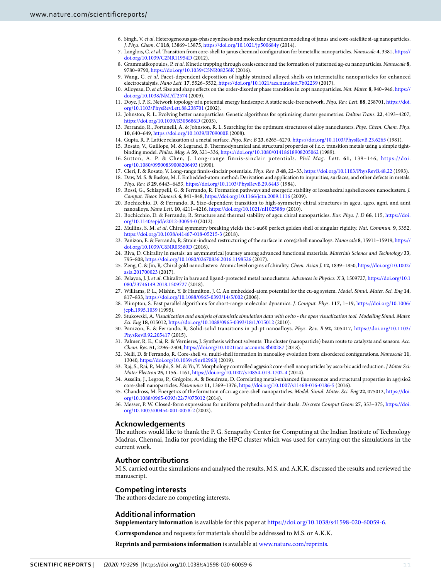- <span id="page-10-0"></span> 6. Singh, V. et al. Heterogeneous gas-phase synthesis and molecular dynamics modeling of janus and core-satellite si-ag nanoparticles. J. Phys. Chem. C **118**, 13869–13875, <https://doi.org/10.1021/jp500684y>(2014).
- 7. Langlois, C. et al. Transition from core-shell to janus chemical configuration for bimetallic nanoparticles. Nanoscale **4**, 3381, [https://](https://doi.org/10.1039/C2NR11954D) [doi.org/10.1039/C2NR11954D](https://doi.org/10.1039/C2NR11954D) (2012).
- <span id="page-10-1"></span> 8. Grammatikopoulos, P. et al. Kinetic trapping through coalescence and the formation of patterned ag-cu nanoparticles. Nanoscale **8**, 9780–9790, <https://doi.org/10.1039/C5NR08256K>(2016).
- <span id="page-10-2"></span>9. Wang, C. et al. Facet-dependent deposition of highly strained alloyed shells on intermetallic nanoparticles for enhanced electrocatalysis. Nano Lett. **17**, 5526–5532,<https://doi.org/10.1021/acs.nanolett.7b02239> (2017).
- <span id="page-10-3"></span> 10. Alloyeau, D. et al. Size and shape effects on the order-disorder phase transition in copt nanoparticles. Nat. Mater. **8**, 940–946, [https://](https://doi.org/10.1038/NMAT2574) [doi.org/10.1038/NMAT2574](https://doi.org/10.1038/NMAT2574) (2009).
- <span id="page-10-4"></span> 11. Doye, J. P. K. Network topology of a potential energy landscape: A static scale-free network. Phys. Rev. Lett. **88**, 238701, [https://doi.](https://doi.org/10.1103/PhysRevLett.88.238701) [org/10.1103/PhysRevLett.88.238701](https://doi.org/10.1103/PhysRevLett.88.238701) (2002).
- <span id="page-10-5"></span> 12. Johnston, R. L. Evolving better nanoparticles: Genetic algorithms for optimising cluster geometries. Dalton Trans. **22**, 4193–4207, <https://doi.org/10.1039/B305686D> (2003).
- <span id="page-10-6"></span>13. Ferrando, R., Fortunelli, A. & Johnston, R. L. Searching for the optimum structures of alloy nanoclusters. Phys. Chem. Chem. Phys. **10**, 640–649,<https://doi.org/10.1039/B709000E>(2008).
- <span id="page-10-7"></span>14. Gupta, R. P. Lattice relaxation at a metal surface. Phys. Rev. B **23**, 6265–6270,<https://doi.org/10.1103/PhysRevB.23.6265> (1981).
- 15. Rosato, V., Guillope, M. & Legrand, B. Thermodynamical and structural properties of f.c.c. transition metals using a simple tightbinding model. Philos. Mag. A **59**, 321–336,<https://doi.org/10.1080/01418618908205062> (1989).
- 16. Sutton, A. P. & Chen, J. Long-range finnis-sinclair potentials. Phil Mag. Lett. **61**, 139–146, [https://doi.](https://doi.org/10.1080/09500839008206493)  $\overline{\text{ore}}/10.1080/09500839008206493(1990).$
- <span id="page-10-8"></span>17. Cleri, F. & Rosato, V. Long-range finnis-sinclair potentials. Phys. Rev. B **48**, 22–33,<https://doi.org/10.1103/PhysRevB.48.22>(1993).
- <span id="page-10-9"></span> 18. Daw, M. S. & Baskes, M. I. Embedded-atom method: Derivation and application to impurities, surfaces, and other defects in metals. Phys. Rev. B **29**, 6443–6453, <https://doi.org/10.1103/PhysRevB.29.6443> (1984).
- <span id="page-10-10"></span> 19. Rossi, G., Schiappelli, G. & Ferrando, R. Formation pathways and energetic stability of icosahedral agshellcocore nanoclusters. J. Comput. Theor. Nanosci. **6**, 841–848,<https://doi.org/10.1166/jctn.2009.1116>(2009).
- <span id="page-10-12"></span> 20. Bochicchio, D. & Ferrando, R. Size-dependent transition to high-symmetry chiral structures in agcu, agco, agni, and auni nanoalloys. Nano Lett. **10**, 4211–4216,<https://doi.org/10.1021/nl102588p> (2010).
- <span id="page-10-11"></span> 21. Bochicchio, D. & Ferrando, R. Structure and thermal stability of agcu chiral nanoparticles. Eur. Phys. J. D **66**, 115, [https://doi.](https://doi.org/10.1140/epjd/e2012-30054-0) [org/10.1140/epjd/e2012-30054-0](https://doi.org/10.1140/epjd/e2012-30054-0) (2012).
- <span id="page-10-13"></span> 22. Mullins, S. M. et al. Chiral symmetry breaking yields the i-au60 perfect golden shell of singular rigidity. Nat. Commun. **9**, 3352, <https://doi.org/10.1038/s41467-018-05215-3> (2018).
- <span id="page-10-14"></span> 23. Panizon, E. & Ferrando, R. Strain-induced restructuring of the surface in core@shell nanoalloys. Nanoscale **8**, 15911–15919, [https://](https://doi.org/10.1039/C6NR03560D) [doi.org/10.1039/C6NR03560D](https://doi.org/10.1039/C6NR03560D) (2016).
- <span id="page-10-15"></span> 24. Riva, D. Chirality in metals: an asymmetrical journey among advanced functional materials. Materials Science and Technology **33**, 795–808,<https://doi.org/10.1080/02670836.2016.1198526> (2017).
- 25. Zeng, C. & Jin, R. Chiral gold nanoclusters: Atomic level origins of chirality. Chem. Asian J. **12**, 1839–1850, [https://doi.org/10.1002/](https://doi.org/10.1002/asia.201700023) [asia.201700023](https://doi.org/10.1002/asia.201700023) (2017).
- <span id="page-10-16"></span> 26. Pelayoa, J. J. et al. Chirality in bare and ligand-protected metal nanoclusters. Advances in Physics: X **3**, 1509727, [https://doi.org/10.1](https://doi.org/10.1080/23746149.2018.1509727) [080/23746149.2018.1509727](https://doi.org/10.1080/23746149.2018.1509727) (2018).
- <span id="page-10-17"></span> 27. Williams, P. L., Mishin, Y. & Hamilton, J. C. An embedded-atom potential for the cu-ag system. Model. Simul. Mater. Sci. Eng **14**, 817–833,<https://doi.org/10.1088/0965-0393/14/5/002> (2006).
- <span id="page-10-18"></span> 28. Plimpton, S. Fast parallel algorithms for short-range molecular dynamics. J. Comput. Phys. **117**, 1–19, [https://doi.org/10.1006/](https://doi.org/10.1006/jcph.1995.1039) cph.1995.1039 (1995).
- <span id="page-10-19"></span> 29. Stukowski, A. Visualization and analysis of atomistic simulation data with ovito - the open visualization tool. Modelling Simul. Mater. Sci. Eng **18**, 015012, <https://doi.org/10.1088/0965-0393/18/1/015012> (2010).
- <span id="page-10-20"></span> 30. Panizon, E. & Ferrando, R. Solid-solid transitions in pd-pt nanoalloys. Phys. Rev. B **92**, 205417, [https://doi.org/10.1103/](https://doi.org/10.1103/PhysRevB.92.205417) [PhysRevB.92.205417](https://doi.org/10.1103/PhysRevB.92.205417) (2015).
- <span id="page-10-21"></span> 31. Palmer, R. E., Cai, R. & Vernieres, J. Synthesis without solvents: The cluster (nanoparticle) beam route to catalysts and sensors. Acc. Chem. Res. **51**, 2296–2304,<https://doi.org/10.1021/acs.accounts.8b00287>(2018).
- <span id="page-10-22"></span> 32. Nelli, D. & Ferrando, R. Core-shell vs. multi-shell formation in nanoalloy evolution from disordered configurations. Nanoscale **11**, 13040,<https://doi.org/10.1039/c9nr02963j>(2019).
- <span id="page-10-23"></span>33. Raj, S., Rai, P., Majhi, S. M. & Yu, Y. Morphology controlled ag@sio2 core-shell nanoparticles by ascorbic acid reduction. J Mater Sci: Mater Electron **25**, 1156–1161,<https://doi.org/10.1007/s10854-013-1702-4> (2014).
- <span id="page-10-24"></span> 34. Asselin, J., Legros, P., Grégoire, A. & Boudreau, D. Correlating metal-enhanced fluorescence and structural properties in ag@sio2 core-shell nanoparticles. Plasmonics **11**, 1369–1376,<https://doi.org/10.1007/s11468-016-0186-5>(2016).
- <span id="page-10-25"></span> 35. Chandross, M. Energetics of the formation of cu-ag core-shell nanoparticles. Model. Simul. Mater. Sci. Eng **22**, 075012, [https://doi.](https://doi.org/10.1088/0965-0393/22/7/075012) [org/10.1088/0965-0393/22/7/075012](https://doi.org/10.1088/0965-0393/22/7/075012) (2014).
- <span id="page-10-26"></span> 36. Messer, P. W. Closed-form expressions for uniform polyhedra and their duals. Discrete Comput Geom **27**, 353–375, [https://doi.](https://doi.org/10.1007/s00454-001-0078-2) [org/10.1007/s00454-001-0078-2](https://doi.org/10.1007/s00454-001-0078-2) (2002).

# **Acknowledgements**

The authors would like to thank the P. G. Senapathy Center for Computing at the Indian Institute of Technology Madras, Chennai, India for providing the HPC cluster which was used for carrying out the simulations in the current work.

## **Author contributions**

M.S. carried out the simulations and analysed the results, M.S. and A.K.K. discussed the results and reviewed the manuscript.

# **Competing interests**

The authors declare no competing interests.

# **Additional information**

**Supplementary information** is available for this paper at<https://doi.org/10.1038/s41598-020-60059-6>.

**Correspondence** and requests for materials should be addressed to M.S. or A.K.K.

**Reprints and permissions information** is available at [www.nature.com/reprints.](http://www.nature.com/reprints)